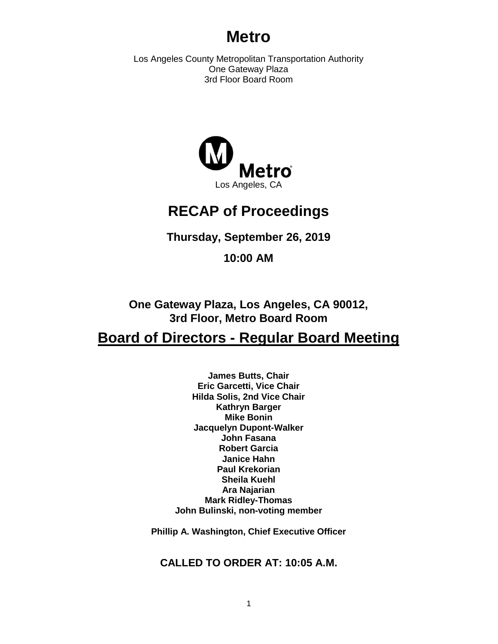# **Metro**

Los Angeles County Metropolitan Transportation Authority One Gateway Plaza 3rd Floor Board Room



# **RECAP of Proceedings**

**Thursday, September 26, 2019**

**10:00 AM**

**One Gateway Plaza, Los Angeles, CA 90012, 3rd Floor, Metro Board Room**

# **Board of Directors - Regular Board Meeting**

**James Butts, Chair Eric Garcetti, Vice Chair Hilda Solis, 2nd Vice Chair Kathryn Barger Mike Bonin Jacquelyn Dupont-Walker John Fasana Robert Garcia Janice Hahn Paul Krekorian Sheila Kuehl Ara Najarian Mark Ridley-Thomas John Bulinski, non-voting member**

**Phillip A. Washington, Chief Executive Officer**

**CALLED TO ORDER AT: 10:05 A.M.**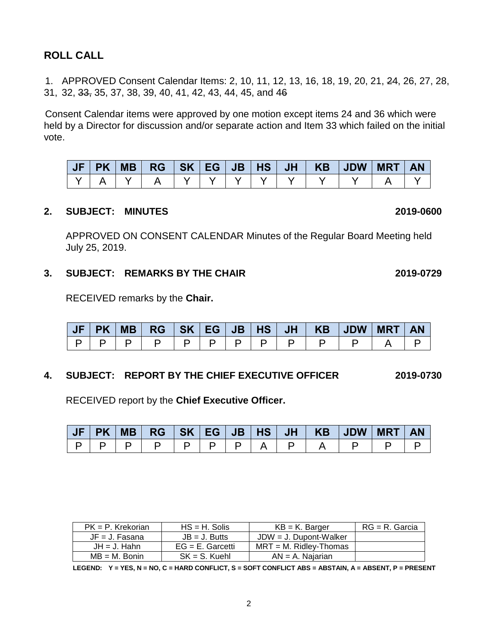# **ROLL CALL**

1. APPROVED Consent Calendar Items: 2, 10, 11, 12, 13, 16, 18, 19, 20, 21, 24, 26, 27, 28, 31, 32, 33, 35, 37, 38, 39, 40, 41, 42, 43, 44, 45, and 46

Consent Calendar items were approved by one motion except items 24 and 36 which were held by a Director for discussion and/or separate action and Item 33 which failed on the initial vote.

| <b>PK</b> | <b>MB</b> | <b>RG</b> | SK EG JB |  |  | HS   JH   KB   JDW | <b>MRT</b> |  |
|-----------|-----------|-----------|----------|--|--|--------------------|------------|--|
|           |           |           |          |  |  |                    |            |  |

#### **2. SUBJECT: MINUTES 2019-0600**

APPROVED ON CONSENT CALENDAR Minutes of the Regular Board Meeting held July 25, 2019.

### **3. SUBJECT: REMARKS BY THE CHAIR 2019-0729**

RECEIVED remarks by the **Chair.**

| <b>PK</b> | <b>MB</b> | RGSKEG |  | JB |  | <b>HS JH KB JDW</b> | <b>MRT</b> | <b>AN</b> |
|-----------|-----------|--------|--|----|--|---------------------|------------|-----------|
|           |           |        |  |    |  |                     |            |           |

### **4. SUBJECT: REPORT BY THE CHIEF EXECUTIVE OFFICER 2019-0730**

RECEIVED report by the **Chief Executive Officer.** 

|  |                                   |  |  |  | JF   PK   MB   RG   SK   EG   JB   HS   JH   KB   JDW   MRT   AN |  |
|--|-----------------------------------|--|--|--|------------------------------------------------------------------|--|
|  | p   p   p   p   p   p   a   p   a |  |  |  |                                                                  |  |

| $PK = P$ . Krekorian | $HS = H$ . Solis    | $KB = K$ . Barger         | $RG = R$ . Garcia |
|----------------------|---------------------|---------------------------|-------------------|
| $JF = J$ . Fasana    | $JB = J.$ Butts     | $JDW = J$ . Dupont-Walker |                   |
| $JH = J$ . Hahn      | $EG = E$ . Garcetti | $MRT = M$ . Ridlev-Thomas |                   |
| $MB = M.$ Bonin      | $SK = S$ . Kuehl    | $AN = A$ . Najarian       |                   |

**LEGEND: Y = YES, N = NO, C = HARD CONFLICT, S = SOFT CONFLICT ABS = ABSTAIN, A = ABSENT, P = PRESENT**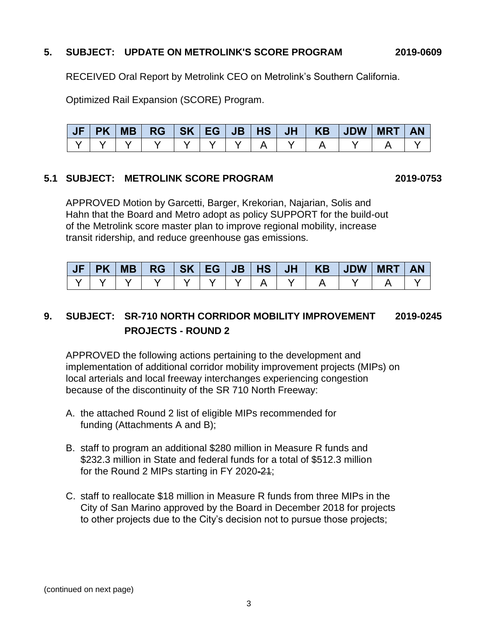### **5. SUBJECT: UPDATE ON METROLINK'S SCORE PROGRAM 2019-0609**

RECEIVED Oral Report by Metrolink CEO on Metrolink's Southern California.

Optimized Rail Expansion (SCORE) Program.

| Æ | <b>PK</b> | <b>MB</b> | <b>RG</b> | SK   EG | JB |  | HS   JH   KB   JDW | <b>MRT</b> | <b>AN</b> |
|---|-----------|-----------|-----------|---------|----|--|--------------------|------------|-----------|
|   |           |           |           |         |    |  |                    |            |           |

#### **5.1 SUBJECT: METROLINK SCORE PROGRAM 2019-0753**

APPROVED Motion by Garcetti, Barger, Krekorian, Najarian, Solis and Hahn that the Board and Metro adopt as policy SUPPORT for the build-out of the Metrolink score master plan to improve regional mobility, increase transit ridership, and reduce greenhouse gas emissions.

| JF | PK | MB |  |  |  |  | MRT | <b>AN</b> |
|----|----|----|--|--|--|--|-----|-----------|
|    |    |    |  |  |  |  |     |           |

# **9. SUBJECT: SR-710 NORTH CORRIDOR MOBILITY IMPROVEMENT 2019-0245 PROJECTS - ROUND 2**

APPROVED the following actions pertaining to the development and implementation of additional corridor mobility improvement projects (MIPs) on local arterials and local freeway interchanges experiencing congestion because of the discontinuity of the SR 710 North Freeway:

- A. the attached Round 2 list of eligible MIPs recommended for funding (Attachments A and B);
- B. staff to program an additional \$280 million in Measure R funds and \$232.3 million in State and federal funds for a total of \$512.3 million for the Round 2 MIPs starting in FY 2020-21;
- C. staff to reallocate \$18 million in Measure R funds from three MIPs in the City of San Marino approved by the Board in December 2018 for projects to other projects due to the City's decision not to pursue those projects;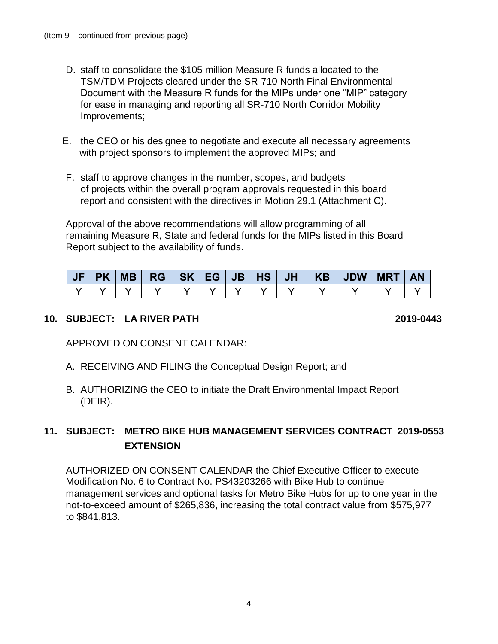- D. staff to consolidate the \$105 million Measure R funds allocated to the TSM/TDM Projects cleared under the SR-710 North Final Environmental Document with the Measure R funds for the MIPs under one "MIP" category for ease in managing and reporting all SR-710 North Corridor Mobility Improvements;
- E. the CEO or his designee to negotiate and execute all necessary agreements with project sponsors to implement the approved MIPs; and
- F. staff to approve changes in the number, scopes, and budgets of projects within the overall program approvals requested in this board report and consistent with the directives in Motion 29.1 (Attachment C).

Approval of the above recommendations will allow programming of all remaining Measure R, State and federal funds for the MIPs listed in this Board Report subject to the availability of funds.

| JF |  |  |  |  | PK   MB   RG   SK   EG   JB   HS   JH   KB   JDW   MRT | <b>AN</b> |
|----|--|--|--|--|--------------------------------------------------------|-----------|
|    |  |  |  |  |                                                        |           |

## **10. SUBJECT: LA RIVER PATH 2019-0443**

APPROVED ON CONSENT CALENDAR:

- A. RECEIVING AND FILING the Conceptual Design Report; and
- B. AUTHORIZING the CEO to initiate the Draft Environmental Impact Report (DEIR).

# **11. SUBJECT: METRO BIKE HUB MANAGEMENT SERVICES CONTRACT 2019-0553 EXTENSION**

AUTHORIZED ON CONSENT CALENDAR the Chief Executive Officer to execute Modification No. 6 to Contract No. PS43203266 with Bike Hub to continue management services and optional tasks for Metro Bike Hubs for up to one year in the not-to-exceed amount of \$265,836, increasing the total contract value from \$575,977 to \$841,813.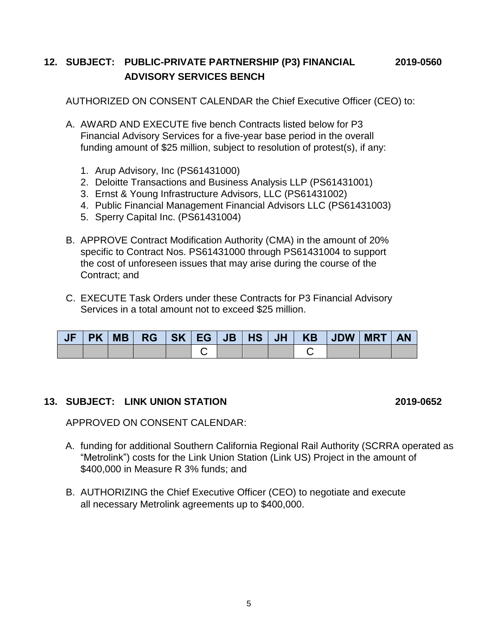# **12. SUBJECT: PUBLIC-PRIVATE PARTNERSHIP (P3) FINANCIAL 2019-0560 ADVISORY SERVICES BENCH**

AUTHORIZED ON CONSENT CALENDAR the Chief Executive Officer (CEO) to:

- A. AWARD AND EXECUTE five bench Contracts listed below for P3 Financial Advisory Services for a five-year base period in the overall funding amount of \$25 million, subject to resolution of protest(s), if any:
	- 1. Arup Advisory, Inc (PS61431000)
	- 2. Deloitte Transactions and Business Analysis LLP (PS61431001)
	- 3. Ernst & Young Infrastructure Advisors, LLC (PS61431002)
	- 4. Public Financial Management Financial Advisors LLC (PS61431003)
	- 5. Sperry Capital Inc. (PS61431004)
- B. APPROVE Contract Modification Authority (CMA) in the amount of 20% specific to Contract Nos. PS61431000 through PS61431004 to support the cost of unforeseen issues that may arise during the course of the Contract; and
- C. EXECUTE Task Orders under these Contracts for P3 Financial Advisory Services in a total amount not to exceed \$25 million.

| <b>JF</b> | <b>PK</b> | $\parallel$ MB $\parallel$ |  |  |  | RG   SK   EG   JB   HS   JH   KB   JDW | <b>MRT</b> | <b>AN</b> |
|-----------|-----------|----------------------------|--|--|--|----------------------------------------|------------|-----------|
|           |           |                            |  |  |  |                                        |            |           |

### **13. SUBJECT: LINK UNION STATION 2019-0652**

APPROVED ON CONSENT CALENDAR:

- A. funding for additional Southern California Regional Rail Authority (SCRRA operated as "Metrolink") costs for the Link Union Station (Link US) Project in the amount of \$400,000 in Measure R 3% funds; and
- B. AUTHORIZING the Chief Executive Officer (CEO) to negotiate and execute all necessary Metrolink agreements up to \$400,000.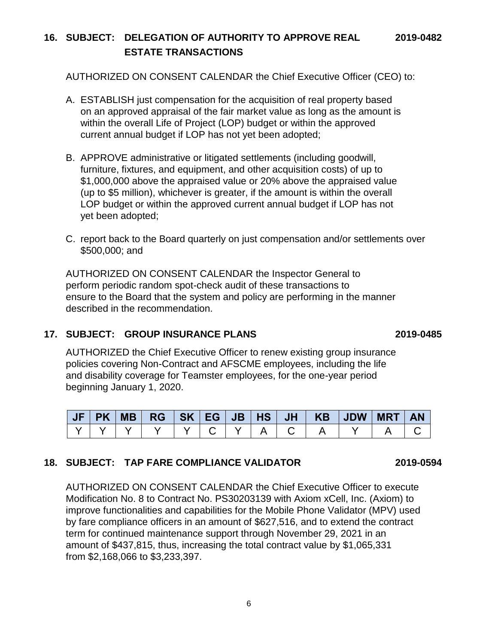6

# **16. SUBJECT: DELEGATION OF AUTHORITY TO APPROVE REAL 2019-0482 ESTATE TRANSACTIONS**

AUTHORIZED ON CONSENT CALENDAR the Chief Executive Officer (CEO) to:

- A. ESTABLISH just compensation for the acquisition of real property based on an approved appraisal of the fair market value as long as the amount is within the overall Life of Project (LOP) budget or within the approved current annual budget if LOP has not yet been adopted;
- B. APPROVE administrative or litigated settlements (including goodwill, furniture, fixtures, and equipment, and other acquisition costs) of up to \$1,000,000 above the appraised value or 20% above the appraised value (up to \$5 million), whichever is greater, if the amount is within the overall LOP budget or within the approved current annual budget if LOP has not yet been adopted;
- C. report back to the Board quarterly on just compensation and/or settlements over \$500,000; and

AUTHORIZED ON CONSENT CALENDAR the Inspector General to perform periodic random spot-check audit of these transactions to ensure to the Board that the system and policy are performing in the manner described in the recommendation.

# **17. SUBJECT: GROUP INSURANCE PLANS 2019-0485**

AUTHORIZED the Chief Executive Officer to renew existing group insurance policies covering Non-Contract and AFSCME employees, including the life and disability coverage for Teamster employees, for the one-year period beginning January 1, 2020.

|  | <b>MB</b> | <b>RG</b> | SK <sub>I</sub> | EG | <b>JB</b> | HS. | JH | <b>KB</b> | <b>JDW</b> | <b>MRT</b> | AN |
|--|-----------|-----------|-----------------|----|-----------|-----|----|-----------|------------|------------|----|
|  |           |           |                 |    |           |     |    |           |            |            |    |

# **18. SUBJECT: TAP FARE COMPLIANCE VALIDATOR 2019-0594**

AUTHORIZED ON CONSENT CALENDAR the Chief Executive Officer to execute Modification No. 8 to Contract No. PS30203139 with Axiom xCell, Inc. (Axiom) to improve functionalities and capabilities for the Mobile Phone Validator (MPV) used by fare compliance officers in an amount of \$627,516, and to extend the contract term for continued maintenance support through November 29, 2021 in an amount of \$437,815, thus, increasing the total contract value by \$1,065,331 from \$2,168,066 to \$3,233,397.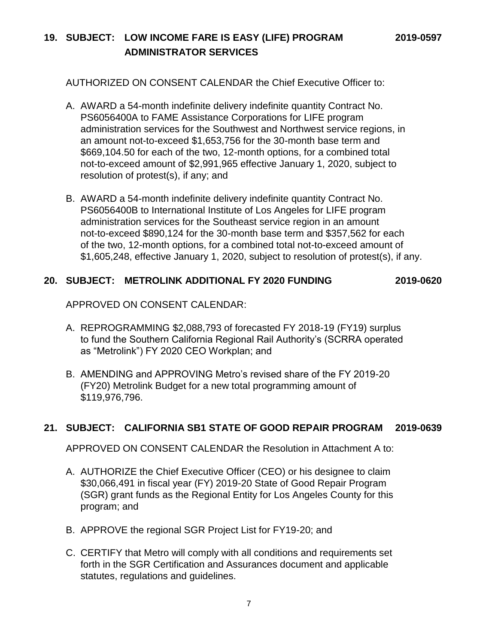# **19. SUBJECT: LOW INCOME FARE IS EASY (LIFE) PROGRAM 2019-0597 ADMINISTRATOR SERVICES**

AUTHORIZED ON CONSENT CALENDAR the Chief Executive Officer to:

- A. AWARD a 54-month indefinite delivery indefinite quantity Contract No. PS6056400A to FAME Assistance Corporations for LIFE program administration services for the Southwest and Northwest service regions, in an amount not-to-exceed \$1,653,756 for the 30-month base term and \$669,104.50 for each of the two, 12-month options, for a combined total not-to-exceed amount of \$2,991,965 effective January 1, 2020, subject to resolution of protest(s), if any; and
- B. AWARD a 54-month indefinite delivery indefinite quantity Contract No. PS6056400B to International Institute of Los Angeles for LIFE program administration services for the Southeast service region in an amount not-to-exceed \$890,124 for the 30-month base term and \$357,562 for each of the two, 12-month options, for a combined total not-to-exceed amount of \$1,605,248, effective January 1, 2020, subject to resolution of protest(s), if any.

### **20. SUBJECT: METROLINK ADDITIONAL FY 2020 FUNDING 2019-0620**

APPROVED ON CONSENT CALENDAR:

- A. REPROGRAMMING \$2,088,793 of forecasted FY 2018-19 (FY19) surplus to fund the Southern California Regional Rail Authority's (SCRRA operated as "Metrolink") FY 2020 CEO Workplan; and
- B. AMENDING and APPROVING Metro's revised share of the FY 2019-20 (FY20) Metrolink Budget for a new total programming amount of \$119,976,796.

### **21. SUBJECT: CALIFORNIA SB1 STATE OF GOOD REPAIR PROGRAM 2019-0639**

APPROVED ON CONSENT CALENDAR the Resolution in Attachment A to:

- A. AUTHORIZE the Chief Executive Officer (CEO) or his designee to claim \$30,066,491 in fiscal year (FY) 2019-20 State of Good Repair Program (SGR) grant funds as the Regional Entity for Los Angeles County for this program; and
- B. APPROVE the regional SGR Project List for FY19-20; and
- C. CERTIFY that Metro will comply with all conditions and requirements set forth in the SGR Certification and Assurances document and applicable statutes, regulations and guidelines.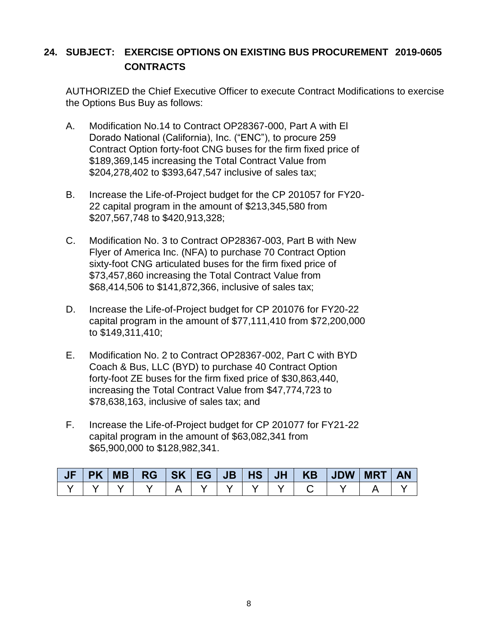# **24. SUBJECT: EXERCISE OPTIONS ON EXISTING BUS PROCUREMENT 2019-0605 CONTRACTS**

AUTHORIZED the Chief Executive Officer to execute Contract Modifications to exercise the Options Bus Buy as follows:

- A. Modification No.14 to Contract OP28367-000, Part A with El Dorado National (California), Inc. ("ENC"), to procure 259 Contract Option forty-foot CNG buses for the firm fixed price of \$189,369,145 increasing the Total Contract Value from \$204,278,402 to \$393,647,547 inclusive of sales tax;
- B. Increase the Life-of-Project budget for the CP 201057 for FY20- 22 capital program in the amount of \$213,345,580 from \$207,567,748 to \$420,913,328;
- C. Modification No. 3 to Contract OP28367-003, Part B with New Flyer of America Inc. (NFA) to purchase 70 Contract Option sixty-foot CNG articulated buses for the firm fixed price of \$73,457,860 increasing the Total Contract Value from \$68,414,506 to \$141,872,366, inclusive of sales tax;
- D. Increase the Life-of-Project budget for CP 201076 for FY20-22 capital program in the amount of \$77,111,410 from \$72,200,000 to \$149,311,410;
- E. Modification No. 2 to Contract OP28367-002, Part C with BYD Coach & Bus, LLC (BYD) to purchase 40 Contract Option forty-foot ZE buses for the firm fixed price of \$30,863,440, increasing the Total Contract Value from \$47,774,723 to \$78,638,163, inclusive of sales tax; and
- F. Increase the Life-of-Project budget for CP 201077 for FY21-22 capital program in the amount of \$63,082,341 from \$65,900,000 to \$128,982,341.

| JF |  |  |  |  | PK   MB   RG   SK   EG   JB   HS   JH   KB   JDW   MRT |  | <b>AN</b> |
|----|--|--|--|--|--------------------------------------------------------|--|-----------|
|    |  |  |  |  |                                                        |  |           |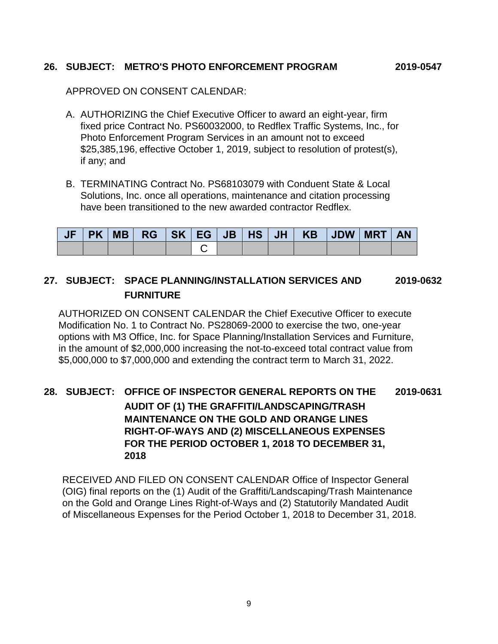### **26. SUBJECT: METRO'S PHOTO ENFORCEMENT PROGRAM 2019-0547**

APPROVED ON CONSENT CALENDAR:

- A. AUTHORIZING the Chief Executive Officer to award an eight-year, firm fixed price Contract No. PS60032000, to Redflex Traffic Systems, Inc., for Photo Enforcement Program Services in an amount not to exceed \$25,385,196, effective October 1, 2019, subject to resolution of protest(s), if any; and
- B. TERMINATING Contract No. PS68103079 with Conduent State & Local Solutions, Inc. once all operations, maintenance and citation processing have been transitioned to the new awarded contractor Redflex.

|  |  |  |  | PK   MB   RG   SK   EG   JB   HS   JH   KB   JDW   MRT |  | <b>AN</b> |
|--|--|--|--|--------------------------------------------------------|--|-----------|
|  |  |  |  |                                                        |  |           |

# **27. SUBJECT: SPACE PLANNING/INSTALLATION SERVICES AND 2019-0632 FURNITURE**

AUTHORIZED ON CONSENT CALENDAR the Chief Executive Officer to execute Modification No. 1 to Contract No. PS28069-2000 to exercise the two, one-year options with M3 Office, Inc. for Space Planning/Installation Services and Furniture, in the amount of \$2,000,000 increasing the not-to-exceed total contract value from \$5,000,000 to \$7,000,000 and extending the contract term to March 31, 2022.

# **28. SUBJECT: OFFICE OF INSPECTOR GENERAL REPORTS ON THE 2019-0631 AUDIT OF (1) THE GRAFFITI/LANDSCAPING/TRASH MAINTENANCE ON THE GOLD AND ORANGE LINES RIGHT-OF-WAYS AND (2) MISCELLANEOUS EXPENSES FOR THE PERIOD OCTOBER 1, 2018 TO DECEMBER 31, 2018**

RECEIVED AND FILED ON CONSENT CALENDAR Office of Inspector General (OIG) final reports on the (1) Audit of the Graffiti/Landscaping/Trash Maintenance on the Gold and Orange Lines Right-of-Ways and (2) Statutorily Mandated Audit of Miscellaneous Expenses for the Period October 1, 2018 to December 31, 2018.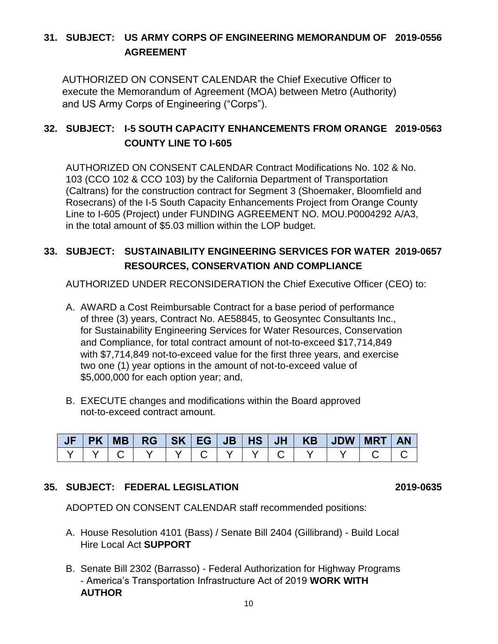# **31. SUBJECT: US ARMY CORPS OF ENGINEERING MEMORANDUM OF 2019-0556 AGREEMENT**

AUTHORIZED ON CONSENT CALENDAR the Chief Executive Officer to execute the Memorandum of Agreement (MOA) between Metro (Authority) and US Army Corps of Engineering ("Corps").

# **32. SUBJECT: I-5 SOUTH CAPACITY ENHANCEMENTS FROM ORANGE 2019-0563 COUNTY LINE TO I-605**

AUTHORIZED ON CONSENT CALENDAR Contract Modifications No. 102 & No. 103 (CCO 102 & CCO 103) by the California Department of Transportation (Caltrans) for the construction contract for Segment 3 (Shoemaker, Bloomfield and Rosecrans) of the I-5 South Capacity Enhancements Project from Orange County Line to I-605 (Project) under FUNDING AGREEMENT NO. MOU.P0004292 A/A3, in the total amount of \$5.03 million within the LOP budget.

# **33. SUBJECT: SUSTAINABILITY ENGINEERING SERVICES FOR WATER 2019-0657 RESOURCES, CONSERVATION AND COMPLIANCE**

AUTHORIZED UNDER RECONSIDERATION the Chief Executive Officer (CEO) to:

- A. AWARD a Cost Reimbursable Contract for a base period of performance of three (3) years, Contract No. AE58845, to Geosyntec Consultants Inc., for Sustainability Engineering Services for Water Resources, Conservation and Compliance, for total contract amount of not-to-exceed \$17,714,849 with \$7,714,849 not-to-exceed value for the first three years, and exercise two one (1) year options in the amount of not-to-exceed value of \$5,000,000 for each option year; and,
- B. EXECUTE changes and modifications within the Board approved not-to-exceed contract amount.

|  | PK MB |  |  |  |  | <b>AN</b> |
|--|-------|--|--|--|--|-----------|
|  |       |  |  |  |  |           |

# **35. SUBJECT: FEDERAL LEGISLATION 2019-0635**

ADOPTED ON CONSENT CALENDAR staff recommended positions:

- A. House Resolution 4101 (Bass) / Senate Bill 2404 (Gillibrand) Build Local Hire Local Act **SUPPORT**
- B. Senate Bill 2302 (Barrasso) Federal Authorization for Highway Programs - America's Transportation Infrastructure Act of 2019 **WORK WITH AUTHOR**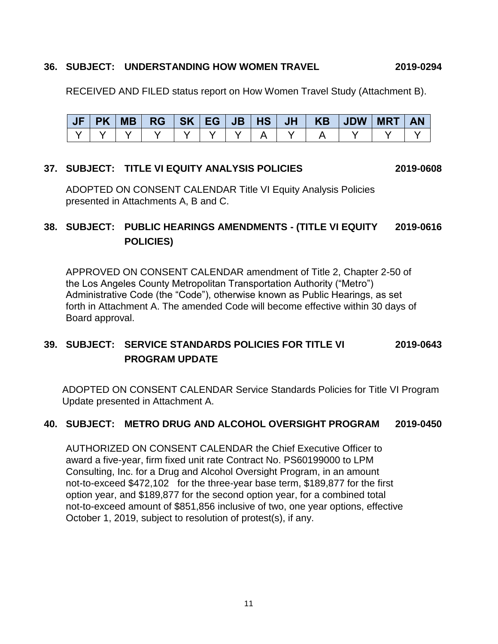#### **36. SUBJECT: UNDERSTANDING HOW WOMEN TRAVEL 2019-0294**

RECEIVED AND FILED status report on How Women Travel Study (Attachment B).

| 4 E A | <b>PK</b> | <b>MB</b> | $RG$ $SK$ $EG$ $\vert$ |  |  |  | JB   HS   JH   KB   JDW | <b>MRT</b> | <b>AN</b> |
|-------|-----------|-----------|------------------------|--|--|--|-------------------------|------------|-----------|
|       |           |           |                        |  |  |  |                         |            |           |

#### **37. SUBJECT: TITLE VI EQUITY ANALYSIS POLICIES 2019-0608**

ADOPTED ON CONSENT CALENDAR Title VI Equity Analysis Policies presented in Attachments A, B and C.

# **38. SUBJECT: PUBLIC HEARINGS AMENDMENTS - (TITLE VI EQUITY 2019-0616 POLICIES)**

APPROVED ON CONSENT CALENDAR amendment of Title 2, Chapter 2-50 of the Los Angeles County Metropolitan Transportation Authority ("Metro") Administrative Code (the "Code"), otherwise known as Public Hearings, as set forth in Attachment A. The amended Code will become effective within 30 days of Board approval.

# **39. SUBJECT: SERVICE STANDARDS POLICIES FOR TITLE VI 2019-0643 PROGRAM UPDATE**

ADOPTED ON CONSENT CALENDAR Service Standards Policies for Title VI Program Update presented in Attachment A.

### **40. SUBJECT: METRO DRUG AND ALCOHOL OVERSIGHT PROGRAM 2019-0450**

AUTHORIZED ON CONSENT CALENDAR the Chief Executive Officer to award a five-year, firm fixed unit rate Contract No. PS60199000 to LPM Consulting, Inc. for a Drug and Alcohol Oversight Program, in an amount not-to-exceed \$472,102 for the three-year base term, \$189,877 for the first option year, and \$189,877 for the second option year, for a combined total not-to-exceed amount of \$851,856 inclusive of two, one year options, effective October 1, 2019, subject to resolution of protest(s), if any.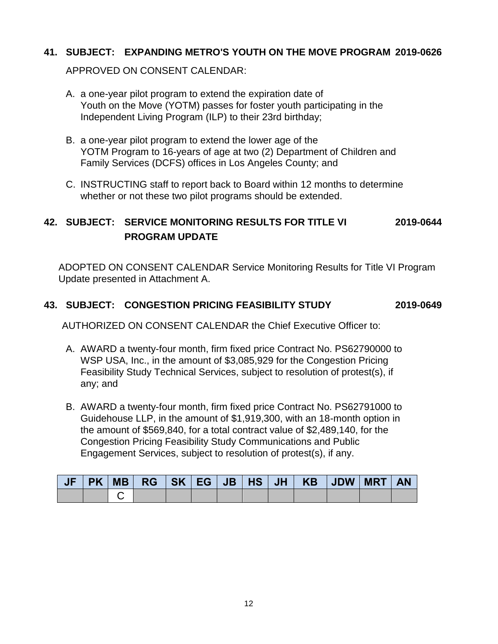### **41. SUBJECT: EXPANDING METRO'S YOUTH ON THE MOVE PROGRAM 2019-0626**

APPROVED ON CONSENT CALENDAR:

- A. a one-year pilot program to extend the expiration date of Youth on the Move (YOTM) passes for foster youth participating in the Independent Living Program (ILP) to their 23rd birthday;
- B. a one-year pilot program to extend the lower age of the YOTM Program to 16-years of age at two (2) Department of Children and Family Services (DCFS) offices in Los Angeles County; and
- C. INSTRUCTING staff to report back to Board within 12 months to determine whether or not these two pilot programs should be extended.

# **42. SUBJECT: SERVICE MONITORING RESULTS FOR TITLE VI 2019-0644 PROGRAM UPDATE**

ADOPTED ON CONSENT CALENDAR Service Monitoring Results for Title VI Program Update presented in Attachment A.

### **43. SUBJECT: CONGESTION PRICING FEASIBILITY STUDY 2019-0649**

AUTHORIZED ON CONSENT CALENDAR the Chief Executive Officer to:

- A. AWARD a twenty-four month, firm fixed price Contract No. PS62790000 to WSP USA, Inc., in the amount of \$3,085,929 for the Congestion Pricing Feasibility Study Technical Services, subject to resolution of protest(s), if any; and
- B. AWARD a twenty-four month, firm fixed price Contract No. PS62791000 to Guidehouse LLP, in the amount of \$1,919,300, with an 18-month option in the amount of \$569,840, for a total contract value of \$2,489,140, for the Congestion Pricing Feasibility Study Communications and Public Engagement Services, subject to resolution of protest(s), if any.

|  |  |  |  |  | JF   PK   MB   RG   SK   EG   JB   HS   JH   KB   JDW   MRT   AN |  |
|--|--|--|--|--|------------------------------------------------------------------|--|
|  |  |  |  |  |                                                                  |  |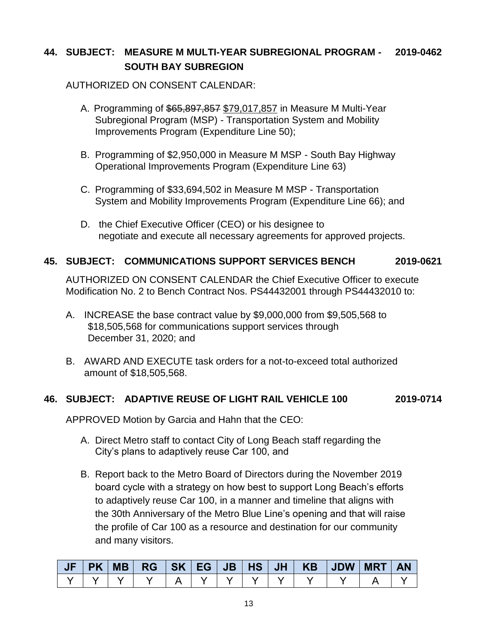# **44. SUBJECT: MEASURE M MULTI-YEAR SUBREGIONAL PROGRAM - 2019-0462 SOUTH BAY SUBREGION**

## AUTHORIZED ON CONSENT CALENDAR:

- A. Programming of \$65,897,857 \$79,017,857 in Measure M Multi-Year Subregional Program (MSP) - Transportation System and Mobility Improvements Program (Expenditure Line 50);
- B. Programming of \$2,950,000 in Measure M MSP South Bay Highway Operational Improvements Program (Expenditure Line 63)
- C. Programming of \$33,694,502 in Measure M MSP Transportation System and Mobility Improvements Program (Expenditure Line 66); and
- D. the Chief Executive Officer (CEO) or his designee to negotiate and execute all necessary agreements for approved projects.

### **45. SUBJECT: COMMUNICATIONS SUPPORT SERVICES BENCH 2019-0621**

AUTHORIZED ON CONSENT CALENDAR the Chief Executive Officer to execute Modification No. 2 to Bench Contract Nos. PS44432001 through PS44432010 to:

- A. INCREASE the base contract value by \$9,000,000 from \$9,505,568 to \$18,505,568 for communications support services through December 31, 2020; and
- B. AWARD AND EXECUTE task orders for a not-to-exceed total authorized amount of \$18,505,568.

# **46. SUBJECT: ADAPTIVE REUSE OF LIGHT RAIL VEHICLE 100 2019-0714**

APPROVED Motion by Garcia and Hahn that the CEO:

- A. Direct Metro staff to contact City of Long Beach staff regarding the City's plans to adaptively reuse Car 100, and
- B. Report back to the Metro Board of Directors during the November 2019 board cycle with a strategy on how best to support Long Beach's efforts to adaptively reuse Car 100, in a manner and timeline that aligns with the 30th Anniversary of the Metro Blue Line's opening and that will raise the profile of Car 100 as a resource and destination for our community and many visitors.

| <b>PK</b> | MB | $RG$ $  SK$ $  EG$ $  JB$ $  HS$ $  JH$ $ $ |  |  |  | KB JDW | <b>MRT</b> | <b>AN</b> |
|-----------|----|---------------------------------------------|--|--|--|--------|------------|-----------|
|           |    |                                             |  |  |  |        |            |           |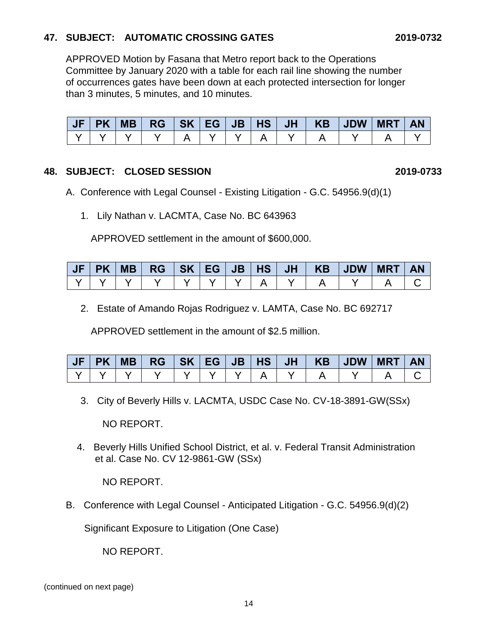# **47. SUBJECT: AUTOMATIC CROSSING GATES 2019-0732**

APPROVED Motion by Fasana that Metro report back to the Operations Committee by January 2020 with a table for each rail line showing the number of occurrences gates have been down at each protected intersection for longer than 3 minutes, 5 minutes, and 10 minutes.

| JF | <b>PK</b> | <b>MB</b> |  |  |  | $RG$ $SK$ $EG$ $JB$ $HS$ $JH$ $KB$ $JDW$ | <b>MRT</b> | <b>AN</b> |
|----|-----------|-----------|--|--|--|------------------------------------------|------------|-----------|
|    |           |           |  |  |  |                                          |            |           |

### **48. SUBJECT: CLOSED SESSION 2019-0733**

- A. Conference with Legal Counsel Existing Litigation G.C. 54956.9(d)(1)
	- 1. Lily Nathan v. LACMTA, Case No. BC 643963

APPROVED settlement in the amount of \$600,000.

|  | <b>MB</b> | $RG$ $SK$ $EG$ $JB$ $HS$ $ $ |  |  |  | JH   KB   JDW | <b>MRT</b> | AN |
|--|-----------|------------------------------|--|--|--|---------------|------------|----|
|  |           |                              |  |  |  |               |            |    |

2. Estate of Amando Rojas Rodriguez v. LAMTA, Case No. BC 692717

APPROVED settlement in the amount of \$2.5 million.

|  |  |  |  |  | JF PK MB  RG  SK EG JB HS  JH   KB  JDW MRT AN |  |
|--|--|--|--|--|------------------------------------------------|--|
|  |  |  |  |  |                                                |  |

3. City of Beverly Hills v. LACMTA, USDC Case No. CV-18-3891-GW(SSx)

NO REPORT.

4. Beverly Hills Unified School District, et al. v. Federal Transit Administration et al. Case No. CV 12-9861-GW (SSx)

NO REPORT.

B. Conference with Legal Counsel - Anticipated Litigation - G.C. 54956.9(d)(2)

Significant Exposure to Litigation (One Case)

NO REPORT.

(continued on next page)